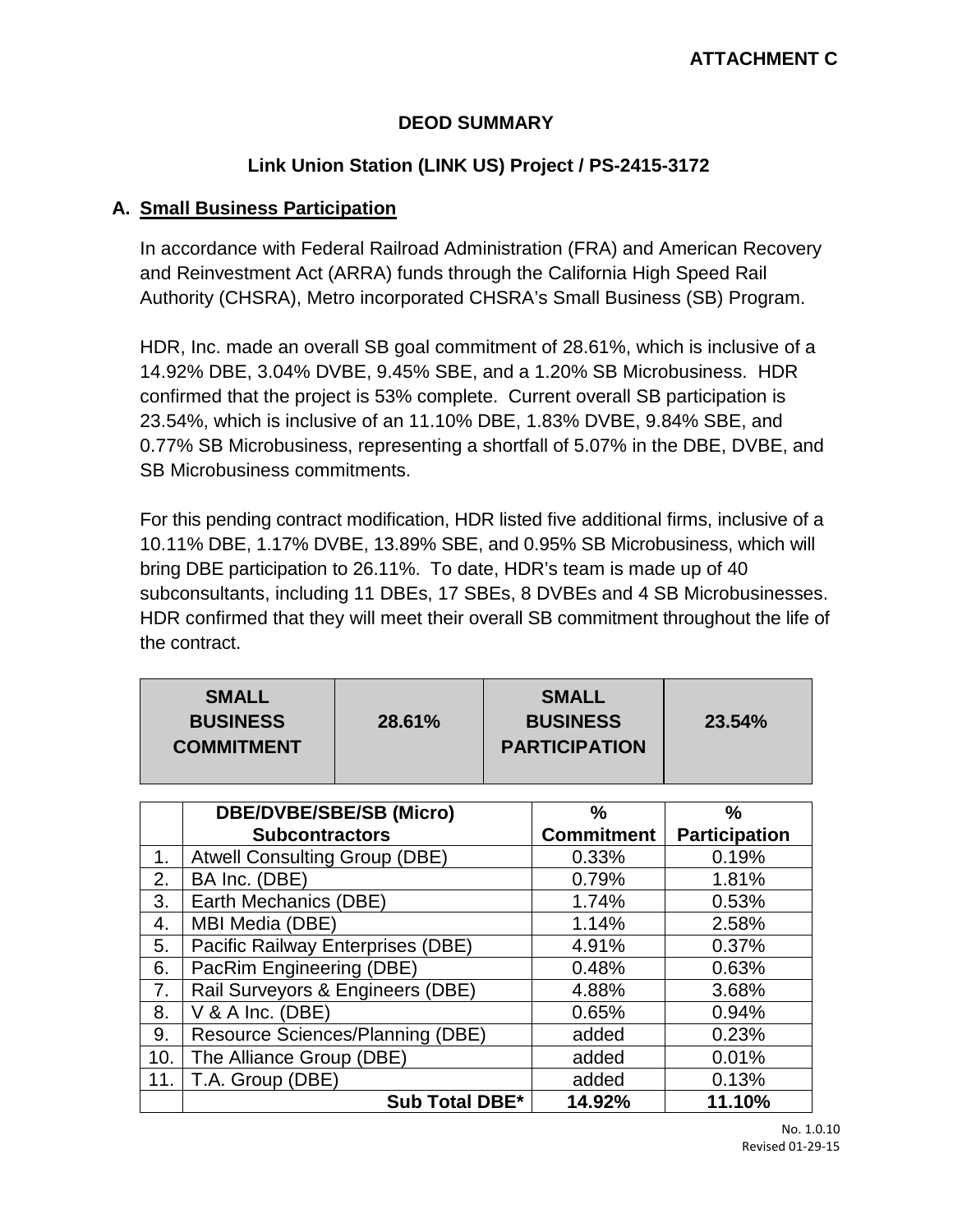## **DEOD SUMMARY**

# **Link Union Station (LINK US) Project / PS-2415-3172**

#### **A. Small Business Participation**

In accordance with Federal Railroad Administration (FRA) and American Recovery and Reinvestment Act (ARRA) funds through the California High Speed Rail Authority (CHSRA), Metro incorporated CHSRA's Small Business (SB) Program.

HDR, Inc. made an overall SB goal commitment of 28.61%, which is inclusive of a 14.92% DBE, 3.04% DVBE, 9.45% SBE, and a 1.20% SB Microbusiness. HDR confirmed that the project is 53% complete. Current overall SB participation is 23.54%, which is inclusive of an 11.10% DBE, 1.83% DVBE, 9.84% SBE, and 0.77% SB Microbusiness, representing a shortfall of 5.07% in the DBE, DVBE, and SB Microbusiness commitments.

For this pending contract modification, HDR listed five additional firms, inclusive of a 10.11% DBE, 1.17% DVBE, 13.89% SBE, and 0.95% SB Microbusiness, which will bring DBE participation to 26.11%. To date, HDR's team is made up of 40 subconsultants, including 11 DBEs, 17 SBEs, 8 DVBEs and 4 SB Microbusinesses. HDR confirmed that they will meet their overall SB commitment throughout the life of the contract.

| <b>SMALL</b><br><b>BUSINESS</b><br>28.61%<br><b>COMMITMENT</b> | <b>SMALL</b><br><b>BUSINESS</b><br><b>PARTICIPATION</b> | 23.54% |
|----------------------------------------------------------------|---------------------------------------------------------|--------|
|----------------------------------------------------------------|---------------------------------------------------------|--------|

|     | <b>DBE/DVBE/SBE/SB (Micro)</b>       | %                 | %                    |
|-----|--------------------------------------|-------------------|----------------------|
|     | <b>Subcontractors</b>                | <b>Commitment</b> | <b>Participation</b> |
| 1.  | <b>Atwell Consulting Group (DBE)</b> | 0.33%             | 0.19%                |
| 2.  | BA Inc. (DBE)                        | 0.79%             | 1.81%                |
| 3.  | Earth Mechanics (DBE)                | 1.74%             | 0.53%                |
| 4.  | MBI Media (DBE)                      | 1.14%             | 2.58%                |
| 5.  | Pacific Railway Enterprises (DBE)    | 4.91%             | 0.37%                |
| 6.  | PacRim Engineering (DBE)             | 0.48%             | 0.63%                |
| 7.  | Rail Surveyors & Engineers (DBE)     | 4.88%             | 3.68%                |
| 8.  | V & A Inc. (DBE)                     | 0.65%             | 0.94%                |
| 9.  | Resource Sciences/Planning (DBE)     | added             | 0.23%                |
| 10. | The Alliance Group (DBE)             | added             | 0.01%                |
| 11. | T.A. Group (DBE)                     | added             | 0.13%                |
|     | <b>Sub Total DBE*</b>                | 14.92%            | 11.10%               |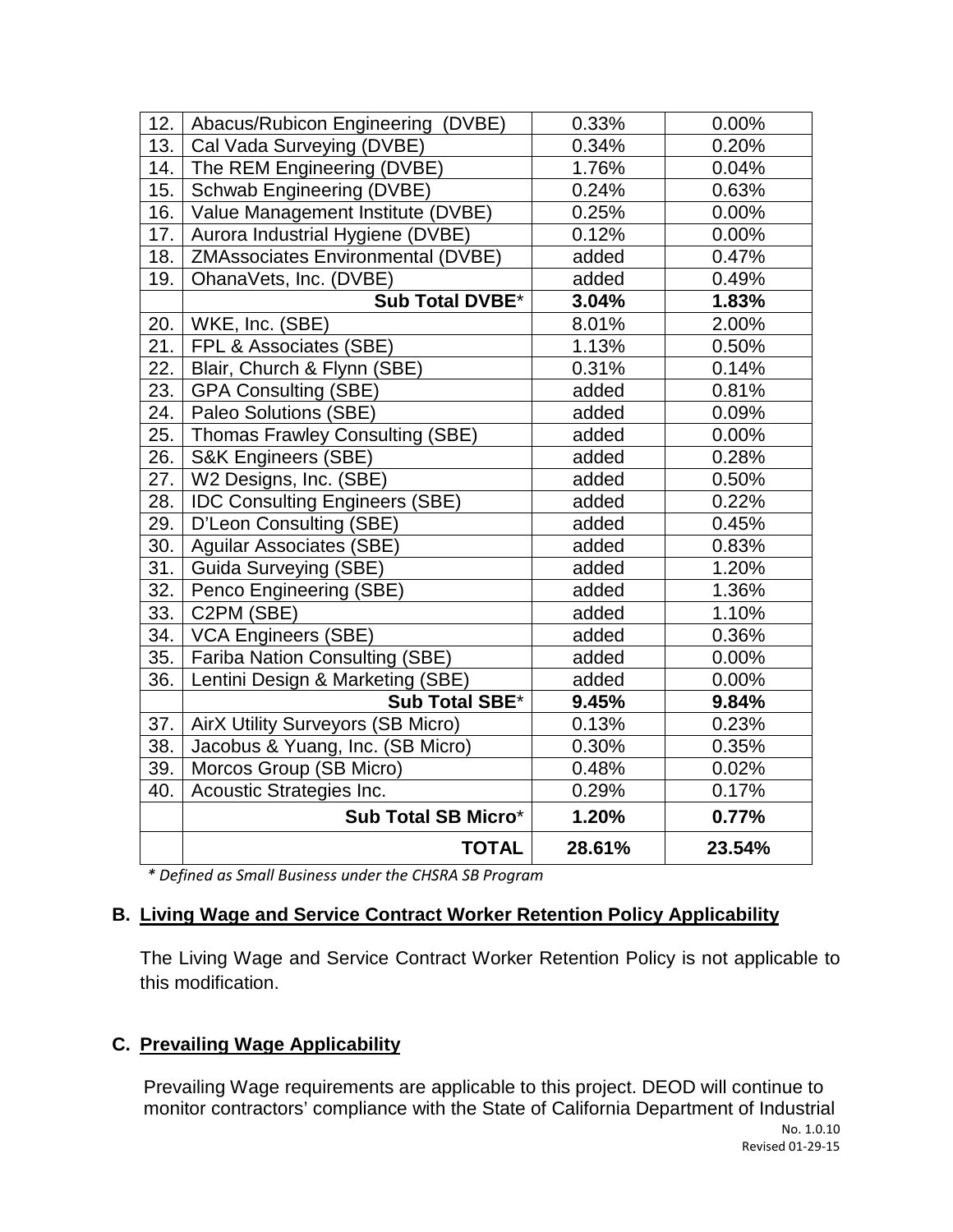|                                          |                                                                                                                                                                                                                                                                                                                                                                                | 0.00%                            |
|------------------------------------------|--------------------------------------------------------------------------------------------------------------------------------------------------------------------------------------------------------------------------------------------------------------------------------------------------------------------------------------------------------------------------------|----------------------------------|
|                                          |                                                                                                                                                                                                                                                                                                                                                                                | 0.20%                            |
|                                          |                                                                                                                                                                                                                                                                                                                                                                                | 0.04%                            |
|                                          |                                                                                                                                                                                                                                                                                                                                                                                | 0.63%                            |
|                                          | 0.25%                                                                                                                                                                                                                                                                                                                                                                          | 0.00%                            |
|                                          | 0.12%                                                                                                                                                                                                                                                                                                                                                                          | 0.00%                            |
| <b>ZMAssociates Environmental (DVBE)</b> | added                                                                                                                                                                                                                                                                                                                                                                          | 0.47%                            |
|                                          | added                                                                                                                                                                                                                                                                                                                                                                          | 0.49%                            |
|                                          | 3.04%                                                                                                                                                                                                                                                                                                                                                                          | 1.83%                            |
|                                          | 8.01%                                                                                                                                                                                                                                                                                                                                                                          | 2.00%                            |
| FPL & Associates (SBE)                   | 1.13%                                                                                                                                                                                                                                                                                                                                                                          | 0.50%                            |
| Blair, Church & Flynn (SBE)              | 0.31%                                                                                                                                                                                                                                                                                                                                                                          | 0.14%                            |
| <b>GPA Consulting (SBE)</b>              | added                                                                                                                                                                                                                                                                                                                                                                          | 0.81%                            |
| Paleo Solutions (SBE)                    | added                                                                                                                                                                                                                                                                                                                                                                          | 0.09%                            |
| Thomas Frawley Consulting (SBE)          | added                                                                                                                                                                                                                                                                                                                                                                          | 0.00%                            |
| <b>S&amp;K Engineers (SBE)</b>           | added                                                                                                                                                                                                                                                                                                                                                                          | 0.28%                            |
| W2 Designs, Inc. (SBE)                   | added                                                                                                                                                                                                                                                                                                                                                                          | 0.50%                            |
| <b>IDC Consulting Engineers (SBE)</b>    | added                                                                                                                                                                                                                                                                                                                                                                          | 0.22%                            |
| D'Leon Consulting (SBE)                  | added                                                                                                                                                                                                                                                                                                                                                                          | 0.45%                            |
|                                          | added                                                                                                                                                                                                                                                                                                                                                                          | 0.83%                            |
| Guida Surveying (SBE)                    | added                                                                                                                                                                                                                                                                                                                                                                          | 1.20%                            |
| Penco Engineering (SBE)                  | added                                                                                                                                                                                                                                                                                                                                                                          | 1.36%                            |
| C2PM (SBE)                               | added                                                                                                                                                                                                                                                                                                                                                                          | 1.10%                            |
| <b>VCA Engineers (SBE)</b>               | added                                                                                                                                                                                                                                                                                                                                                                          | 0.36%                            |
| <b>Fariba Nation Consulting (SBE)</b>    | added                                                                                                                                                                                                                                                                                                                                                                          | 0.00%                            |
| Lentini Design & Marketing (SBE)         | added                                                                                                                                                                                                                                                                                                                                                                          | 0.00%                            |
| Sub Total SBE*                           | 9.45%                                                                                                                                                                                                                                                                                                                                                                          | 9.84%                            |
|                                          | 0.13%                                                                                                                                                                                                                                                                                                                                                                          | 0.23%                            |
| Jacobus & Yuang, Inc. (SB Micro)         | 0.30%                                                                                                                                                                                                                                                                                                                                                                          | 0.35%                            |
| Morcos Group (SB Micro)                  | 0.48%                                                                                                                                                                                                                                                                                                                                                                          | 0.02%                            |
| Acoustic Strategies Inc.                 | 0.29%                                                                                                                                                                                                                                                                                                                                                                          | 0.17%                            |
| Sub Total SB Micro*                      | 1.20%                                                                                                                                                                                                                                                                                                                                                                          | 0.77%                            |
| <b>TOTAL</b>                             | 28.61%                                                                                                                                                                                                                                                                                                                                                                         | 23.54%                           |
|                                          | Abacus/Rubicon Engineering (DVBE)<br>Cal Vada Surveying (DVBE)<br>The REM Engineering (DVBE)<br><b>Schwab Engineering (DVBE)</b><br>Value Management Institute (DVBE)<br>Aurora Industrial Hygiene (DVBE)<br>OhanaVets, Inc. (DVBE)<br>Sub Total DVBE*<br>20.   WKE, Inc. (SBE)<br>22. l<br><b>Aguilar Associates (SBE)</b><br><b>AirX Utility Surveyors (SB Micro)</b><br>37. | 0.33%<br>0.34%<br>1.76%<br>0.24% |

 *\* Defined as Small Business under the CHSRA SB Program*

## **B. Living Wage and Service Contract Worker Retention Policy Applicability**

The Living Wage and Service Contract Worker Retention Policy is not applicable to this modification.

#### **C. Prevailing Wage Applicability**

Prevailing Wage requirements are applicable to this project. DEOD will continue to monitor contractors' compliance with the State of California Department of Industrial